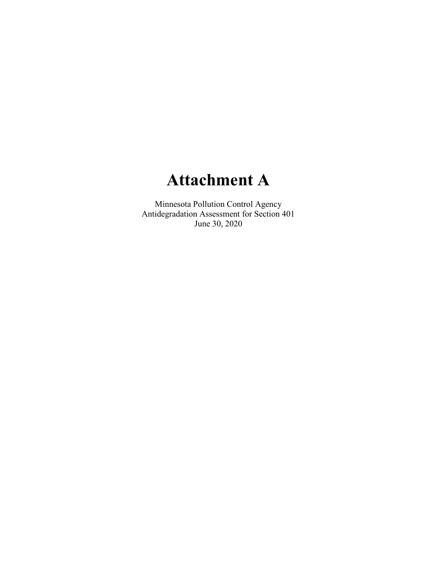# **Attachment A**

Minnesota Pollution Control Agency Antidegradation Assessment for Section 401 June 30, 2020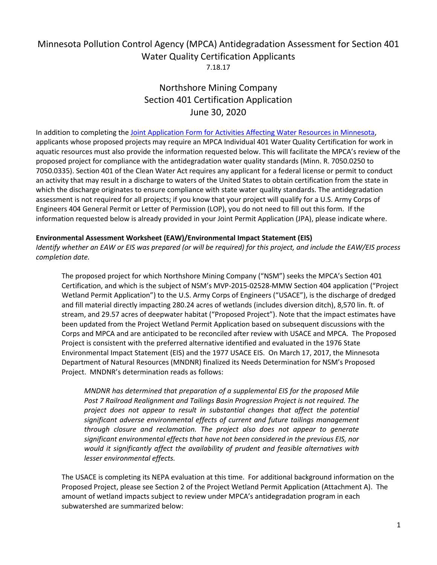# Minnesota Pollution Control Agency (MPCA) Antidegradation Assessment for Section 401 Water Quality Certification Applicants 7.18.17

# Northshore Mining Company Section 401 Certification Application June 30, 2020

In addition to completing the [Joint Application Form for Activities Affecting Water Resources in Minnesota,](http://www.bwsr.state.mn.us/wetlands/forms/MN_joint_appl_form.pdf) applicants whose proposed projects may require an MPCA Individual 401 Water Quality Certification for work in aquatic resources must also provide the information requested below. This will facilitate the MPCA's review of the proposed project for compliance with the antidegradation water quality standards (Minn. R. 7050.0250 to 7050.0335). Section 401 of the Clean Water Act requires any applicant for a federal license or permit to conduct an activity that may result in a discharge to waters of the United States to obtain certification from the state in which the discharge originates to ensure compliance with state water quality standards. The antidegradation assessment is not required for all projects; if you know that your project will qualify for a U.S. Army Corps of Engineers 404 General Permit or Letter of Permission (LOP), you do not need to fill out this form. If the information requested below is already provided in your Joint Permit Application (JPA), please indicate where.

## **Environmental Assessment Worksheet (EAW)/Environmental Impact Statement (EIS)**

*Identify whether an EAW or EIS was prepared (or will be required) for this project, and include the EAW/EIS process completion date.* 

The proposed project for which Northshore Mining Company ("NSM") seeks the MPCA's Section 401 Certification, and which is the subject of NSM's MVP-2015-02528-MMW Section 404 application ("Project Wetland Permit Application") to the U.S. Army Corps of Engineers ("USACE"), is the discharge of dredged and fill material directly impacting 280.24 acres of wetlands (includes diversion ditch), 8,570 lin. ft. of stream, and 29.57 acres of deepwater habitat ("Proposed Project"). Note that the impact estimates have been updated from the Project Wetland Permit Application based on subsequent discussions with the Corps and MPCA and are anticipated to be reconciled after review with USACE and MPCA. The Proposed Project is consistent with the preferred alternative identified and evaluated in the 1976 State Environmental Impact Statement (EIS) and the 1977 USACE EIS. On March 17, 2017, the Minnesota Department of Natural Resources (MNDNR) finalized its Needs Determination for NSM's Proposed Project. MNDNR's determination reads as follows:

*MNDNR has determined that preparation of a supplemental EIS for the proposed Mile Post 7 Railroad Realignment and Tailings Basin Progression Project is not required. The project does not appear to result in substantial changes that affect the potential significant adverse environmental effects of current and future tailings management through closure and reclamation. The project also does not appear to generate significant environmental effects that have not been considered in the previous EIS, nor would it significantly affect the availability of prudent and feasible alternatives with lesser environmental effects.*

The USACE is completing its NEPA evaluation at this time. For additional background information on the Proposed Project, please see Section 2 of the Project Wetland Permit Application (Attachment A). The amount of wetland impacts subject to review under MPCA's antidegradation program in each subwatershed are summarized below: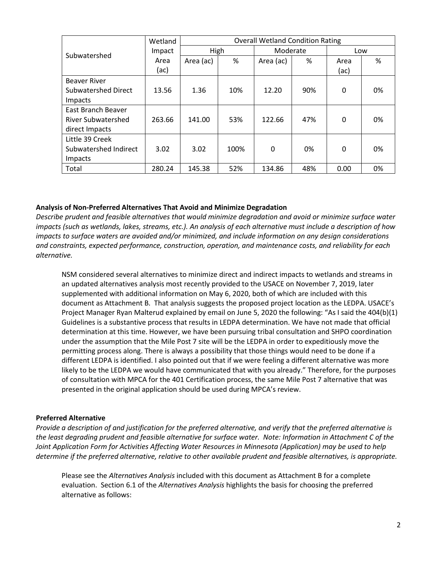|                           | Wetland | <b>Overall Wetland Condition Rating</b> |      |           |     |      |    |
|---------------------------|---------|-----------------------------------------|------|-----------|-----|------|----|
| Subwatershed              | Impact  | High                                    |      | Moderate  |     | Low  |    |
|                           | Area    | Area (ac)                               | %    | Area (ac) | %   | Area | %  |
|                           | (ac)    |                                         |      |           |     | (ac) |    |
| <b>Beaver River</b>       |         |                                         |      |           |     |      |    |
| Subwatershed Direct       | 13.56   | 1.36                                    | 10%  | 12.20     | 90% | 0    | 0% |
| Impacts                   |         |                                         |      |           |     |      |    |
| East Branch Beaver        |         |                                         |      |           |     |      |    |
| <b>River Subwatershed</b> | 263.66  | 141.00                                  | 53%  | 122.66    | 47% | 0    | 0% |
| direct Impacts            |         |                                         |      |           |     |      |    |
| Little 39 Creek           |         |                                         |      |           |     |      |    |
| Subwatershed Indirect     | 3.02    | 3.02                                    | 100% | 0         | 0%  | 0    | 0% |
| <b>Impacts</b>            |         |                                         |      |           |     |      |    |
| Total                     | 280.24  | 145.38                                  | 52%  | 134.86    | 48% | 0.00 | 0% |

#### **Analysis of Non-Preferred Alternatives That Avoid and Minimize Degradation**

*Describe prudent and feasible alternatives that would minimize degradation and avoid or minimize surface water impacts (such as wetlands, lakes, streams, etc.). An analysis of each alternative must include a description of how impacts to surface waters are avoided and/or minimized, and include information on any design considerations and constraints, expected performance, construction, operation, and maintenance costs, and reliability for each alternative.* 

NSM considered several alternatives to minimize direct and indirect impacts to wetlands and streams in an updated alternatives analysis most recently provided to the USACE on November 7, 2019, later supplemented with additional information on May 6, 2020, both of which are included with this document as Attachment B. That analysis suggests the proposed project location as the LEDPA. USACE's Project Manager Ryan Malterud explained by email on June 5, 2020 the following: "As I said the 404(b)(1) Guidelines is a substantive process that results in LEDPA determination. We have not made that official determination at this time. However, we have been pursuing tribal consultation and SHPO coordination under the assumption that the Mile Post 7 site will be the LEDPA in order to expeditiously move the permitting process along. There is always a possibility that those things would need to be done if a different LEDPA is identified. I also pointed out that if we were feeling a different alternative was more likely to be the LEDPA we would have communicated that with you already." Therefore, for the purposes of consultation with MPCA for the 401 Certification process, the same Mile Post 7 alternative that was presented in the original application should be used during MPCA's review.

#### **Preferred Alternative**

*Provide a description of and justification for the preferred alternative, and verify that the preferred alternative is the least degrading prudent and feasible alternative for surface water. Note: Information in Attachment C of the Joint Application Form for Activities Affecting Water Resources in Minnesota (Application) may be used to help determine if the preferred alternative, relative to other available prudent and feasible alternatives, is appropriate.*

Please see the *Alternatives Analysis* included with this document as Attachment B for a complete evaluation. Section 6.1 of the *Alternatives Analysis* highlights the basis for choosing the preferred alternative as follows: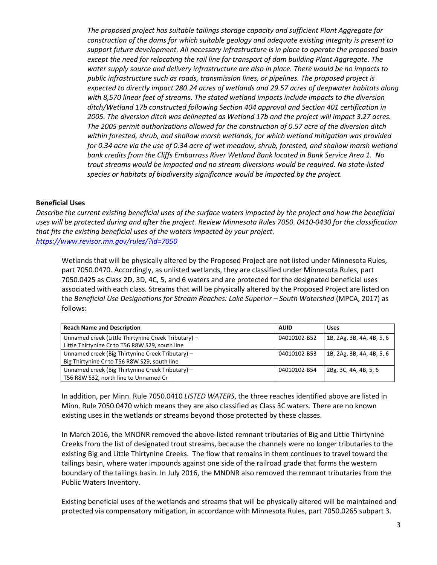*The proposed project has suitable tailings storage capacity and sufficient Plant Aggregate for construction of the dams for which suitable geology and adequate existing integrity is present to support future development. All necessary infrastructure is in place to operate the proposed basin except the need for relocating the rail line for transport of dam building Plant Aggregate. The water supply source and delivery infrastructure are also in place. There would be no impacts to public infrastructure such as roads, transmission lines, or pipelines. The proposed project is expected to directly impact 280.24 acres of wetlands and 29.57 acres of deepwater habitats along with 8,570 linear feet of streams. The stated wetland impacts include impacts to the diversion ditch/Wetland 17b constructed following Section 404 approval and Section 401 certification in 2005. The diversion ditch was delineated as Wetland 17b and the project will impact 3.27 acres. The 2005 permit authorizations allowed for the construction of 0.57 acre of the diversion ditch within forested, shrub, and shallow marsh wetlands, for which wetland mitigation was provided for 0.34 acre via the use of 0.34 acre of wet meadow, shrub, forested, and shallow marsh wetland bank credits from the Cliffs Embarrass River Wetland Bank located in Bank Service Area 1. No trout streams would be impacted and no stream diversions would be required. No state-listed species or habitats of biodiversity significance would be impacted by the project.*

#### **Beneficial Uses**

*Describe the current existing beneficial uses of the surface waters impacted by the project and how the beneficial uses will be protected during and after the project. Review Minnesota Rules 7050. 0410-0430 for the classification that fits the existing beneficial uses of the waters impacted by your project. <https://www.revisor.mn.gov/rules/?id=7050>*

Wetlands that will be physically altered by the Proposed Project are not listed under Minnesota Rules, part 7050.0470. Accordingly, as unlisted wetlands, they are classified under Minnesota Rules, part 7050.0425 as Class 2D, 3D, 4C, 5, and 6 waters and are protected for the designated beneficial uses associated with each class. Streams that will be physically altered by the Proposed Project are listed on the *Beneficial Use Designations for Stream Reaches: Lake Superior – South Watershed (MPCA, 2017)* as follows:

| <b>Reach Name and Description</b>                   | <b>AUID</b>  | <b>Uses</b>               |
|-----------------------------------------------------|--------------|---------------------------|
| Unnamed creek (Little Thirtynine Creek Tributary) - | 04010102-B52 | 1B, 2Ag, 3B, 4A, 4B, 5, 6 |
| Little Thirtynine Cr to T56 R8W S29, south line     |              |                           |
| Unnamed creek (Big Thirtynine Creek Tributary) -    | 04010102-B53 | 1B, 2Ag, 3B, 4A, 4B, 5, 6 |
| Big Thirtynine Cr to T56 R8W S29, south line        |              |                           |
| Unnamed creek (Big Thirtynine Creek Tributary) -    | 04010102-B54 | 2Bg, 3C, 4A, 4B, 5, 6     |
| T56 R8W S32, north line to Unnamed Cr               |              |                           |

In addition, per Minn. Rule 7050.0410 *LISTED WATERS*, the three reaches identified above are listed in Minn. Rule 7050.0470 which means they are also classified as Class 3C waters. There are no known existing uses in the wetlands or streams beyond those protected by these classes.

In March 2016, the MNDNR removed the above-listed remnant tributaries of Big and Little Thirtynine Creeks from the list of designated trout streams, because the channels were no longer tributaries to the existing Big and Little Thirtynine Creeks. The flow that remains in them continues to travel toward the tailings basin, where water impounds against one side of the railroad grade that forms the western boundary of the tailings basin. In July 2016, the MNDNR also removed the remnant tributaries from the Public Waters Inventory.

Existing beneficial uses of the wetlands and streams that will be physically altered will be maintained and protected via compensatory mitigation, in accordance with Minnesota Rules, part 7050.0265 subpart 3.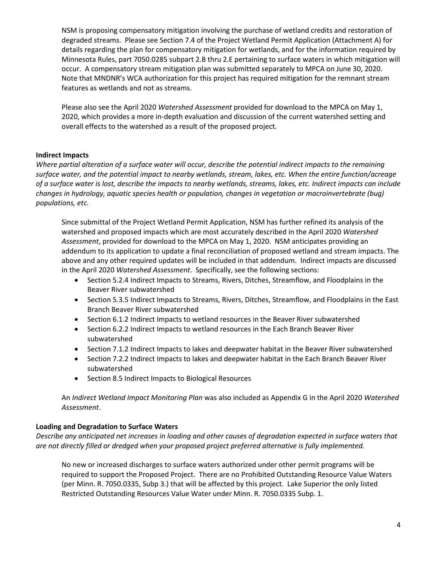NSM is proposing compensatory mitigation involving the purchase of wetland credits and restoration of degraded streams. Please see Section 7.4 of the Project Wetland Permit Application (Attachment A) for details regarding the plan for compensatory mitigation for wetlands, and for the information required by Minnesota Rules, part 7050.0285 subpart 2.B thru 2.E pertaining to surface waters in which mitigation will occur. A compensatory stream mitigation plan was submitted separately to MPCA on June 30, 2020. Note that MNDNR's WCA authorization for this project has required mitigation for the remnant stream features as wetlands and not as streams.

Please also see the April 2020 *Watershed Assessment* provided for download to the MPCA on May 1, 2020, which provides a more in-depth evaluation and discussion of the current watershed setting and overall effects to the watershed as a result of the proposed project.

#### **Indirect Impacts**

*Where partial alteration of a surface water will occur, describe the potential indirect impacts to the remaining surface water, and the potential impact to nearby wetlands, stream, lakes, etc. When the entire function/acreage of a surface water is lost, describe the impacts to nearby wetlands, streams, lakes, etc. Indirect impacts can include changes in hydrology, aquatic species health or population, changes in vegetation or macroinvertebrate (bug) populations, etc.* 

Since submittal of the Project Wetland Permit Application, NSM has further refined its analysis of the watershed and proposed impacts which are most accurately described in the April 2020 *Watershed Assessment*, provided for download to the MPCA on May 1, 2020. NSM anticipates providing an addendum to its application to update a final reconciliation of proposed wetland and stream impacts. The above and any other required updates will be included in that addendum. Indirect impacts are discussed in the April 2020 *Watershed Assessment*. Specifically, see the following sections:

- Section 5.2.4 Indirect Impacts to Streams, Rivers, Ditches, Streamflow, and Floodplains in the Beaver River subwatershed
- Section 5.3.5 Indirect Impacts to Streams, Rivers, Ditches, Streamflow, and Floodplains in the East Branch Beaver River subwatershed
- Section 6.1.2 Indirect Impacts to wetland resources in the Beaver River subwatershed
- Section 6.2.2 Indirect Impacts to wetland resources in the Each Branch Beaver River subwatershed
- Section 7.1.2 Indirect Impacts to lakes and deepwater habitat in the Beaver River subwatershed
- Section 7.2.2 Indirect Impacts to lakes and deepwater habitat in the Each Branch Beaver River subwatershed
- Section 8.5 Indirect Impacts to Biological Resources

An *Indirect Wetland Impact Monitoring Plan* was also included as Appendix G in the April 2020 *Watershed Assessment*.

#### **Loading and Degradation to Surface Waters**

*Describe any anticipated net increases in loading and other causes of degradation expected in surface waters that are not directly filled or dredged when your proposed project preferred alternative is fully implemented.* 

No new or increased discharges to surface waters authorized under other permit programs will be required to support the Proposed Project. There are no Prohibited Outstanding Resource Value Waters (per Minn. R. 7050.0335, Subp 3.) that will be affected by this project. Lake Superior the only listed Restricted Outstanding Resources Value Water under Minn. R. 7050.0335 Subp. 1.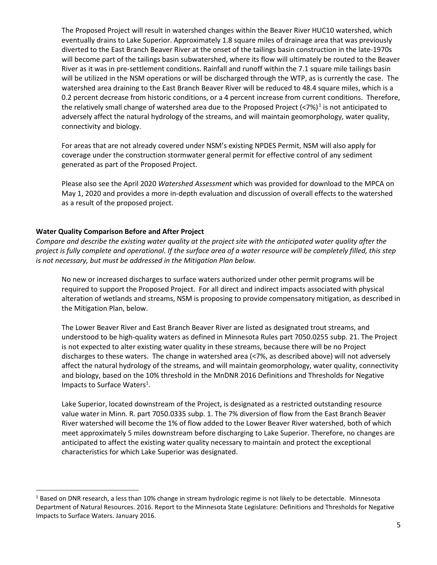The Proposed Project will result in watershed changes within the Beaver River HUC10 watershed, which eventually drains to Lake Superior. Approximately 1.8 square miles of drainage area that was previously diverted to the East Branch Beaver River at the onset of the tailings basin construction in the late-1970s will become part of the tailings basin subwatershed, where its flow will ultimately be routed to the Beaver River as it was in pre-settlement conditions. Rainfall and runoff within the 7.1 square mile tailings basin will be utilized in the NSM operations or will be discharged through the WTP, as is currently the case. The watershed area draining to the East Branch Beaver River will be reduced to 48.4 square miles, which is a 0.2 percent decrease from historic conditions, or a 4 percent increase from current conditions. Therefore, the relatively small change of watershed area due to the Proposed Project (<7%).<sup>1</sup> is not anticipated to adversely affect the natural hydrology of the streams, and will maintain geomorphology, water quality, connectivity and biology.

For areas that are not already covered under NSM's existing NPDES Permit, NSM will also apply for coverage under the construction stormwater general permit for effective control of any sediment generated as part of the Proposed Project.

Please also see the April 2020 *Watershed Assessment* which was provided for download to the MPCA on May 1, 2020 and provides a more in-depth evaluation and discussion of overall effects to the watershed as a result of the proposed project.

#### **Water Quality Comparison Before and After Project**

*Compare and describe the existing water quality at the project site with the anticipated water quality after the project is fully complete and operational. If the surface area of a water resource will be completely filled, this step is not necessary, but must be addressed in the Mitigation Plan below.* 

No new or increased discharges to surface waters authorized under other permit programs will be required to support the Proposed Project. For all direct and indirect impacts associated with physical alteration of wetlands and streams, NSM is proposing to provide compensatory mitigation, as described in the Mitigation Plan, below.

The Lower Beaver River and East Branch Beaver River are listed as designated trout streams, and understood to be high-quality waters as defined in Minnesota Rules part 7050.0255 subp. 21. The Project is not expected to alter existing water quality in these streams, because there will be no Project discharges to these waters. The change in watershed area (<7%, as described above) will not adversely affect the natural hydrology of the streams, and will maintain geomorphology, water quality, connectivity and biology, based on the 10% threshold in the MnDNR 2016 Definitions and Thresholds for Negative Impacts to Surface Waters<sup>1</sup>.

Lake Superior, located downstream of the Project, is designated as a restricted outstanding resource value water in Minn. R. part 7050.0335 subp. 1. The 7% diversion of flow from the East Branch Beaver River watershed will become the 1% of flow added to the Lower Beaver River watershed, both of which meet approximately 5 miles downstream before discharging to Lake Superior. Therefore, no changes are anticipated to affect the existing water quality necessary to maintain and protect the exceptional characteristics for which Lake Superior was designated.

 $1$  Based on DNR research, a less than 10% change in stream hydrologic regime is not likely to be detectable. Minnesota Department of Natural Resources. 2016. Report to the Minnesota State Legislature: Definitions and Thresholds for Negative Impacts to Surface Waters. January 2016.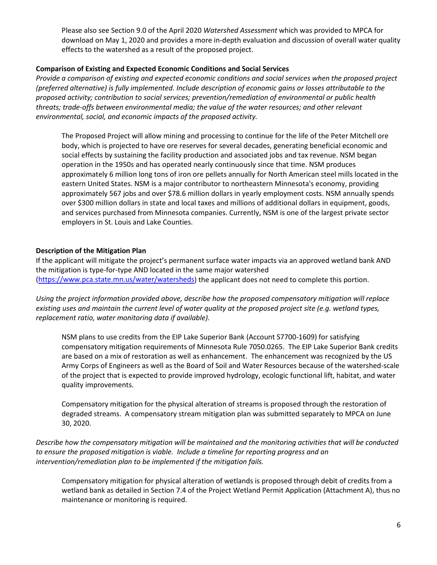Please also see Section 9.0 of the April 2020 *Watershed Assessment* which was provided to MPCA for download on May 1, 2020 and provides a more in-depth evaluation and discussion of overall water quality effects to the watershed as a result of the proposed project.

### **Comparison of Existing and Expected Economic Conditions and Social Services**

*Provide a comparison of existing and expected economic conditions and social services when the proposed project (preferred alternative) is fully implemented. Include description of economic gains or losses attributable to the proposed activity; contribution to social services; prevention/remediation of environmental or public health threats; trade-offs between environmental media; the value of the water resources; and other relevant environmental, social, and economic impacts of the proposed activity.* 

The Proposed Project will allow mining and processing to continue for the life of the Peter Mitchell ore body, which is projected to have ore reserves for several decades, generating beneficial economic and social effects by sustaining the facility production and associated jobs and tax revenue. NSM began operation in the 1950s and has operated nearly continuously since that time. NSM produces approximately 6 million long tons of iron ore pellets annually for North American steel mills located in the eastern United States. NSM is a major contributor to northeastern Minnesota's economy, providing approximately 567 jobs and over \$78.6 million dollars in yearly employment costs. NSM annually spends over \$300 million dollars in state and local taxes and millions of additional dollars in equipment, goods, and services purchased from Minnesota companies. Currently, NSM is one of the largest private sector employers in St. Louis and Lake Counties.

## **Description of the Mitigation Plan**

If the applicant will mitigate the project's permanent surface water impacts via an approved wetland bank AND the mitigation is type-for-type AND located in the same major watershed [\(https://www.pca.state.mn.us/water/watersheds\)](https://www.pca.state.mn.us/water/watersheds) the applicant does not need to complete this portion.

*Using the project information provided above, describe how the proposed compensatory mitigation will replace existing uses and maintain the current level of water quality at the proposed project site (e.g. wetland types, replacement ratio, water monitoring data if available).* 

NSM plans to use credits from the EIP Lake Superior Bank (Account S7700-1609) for satisfying compensatory mitigation requirements of Minnesota Rule 7050.0265. The EIP Lake Superior Bank credits are based on a mix of restoration as well as enhancement. The enhancement was recognized by the US Army Corps of Engineers as well as the Board of Soil and Water Resources because of the watershed-scale of the project that is expected to provide improved hydrology, ecologic functional lift, habitat, and water quality improvements.

Compensatory mitigation for the physical alteration of streams is proposed through the restoration of degraded streams. A compensatory stream mitigation plan was submitted separately to MPCA on June 30, 2020.

*Describe how the compensatory mitigation will be maintained and the monitoring activities that will be conducted to ensure the proposed mitigation is viable. Include a timeline for reporting progress and an intervention/remediation plan to be implemented if the mitigation fails.* 

Compensatory mitigation for physical alteration of wetlands is proposed through debit of credits from a wetland bank as detailed in Section 7.4 of the Project Wetland Permit Application (Attachment A), thus no maintenance or monitoring is required.